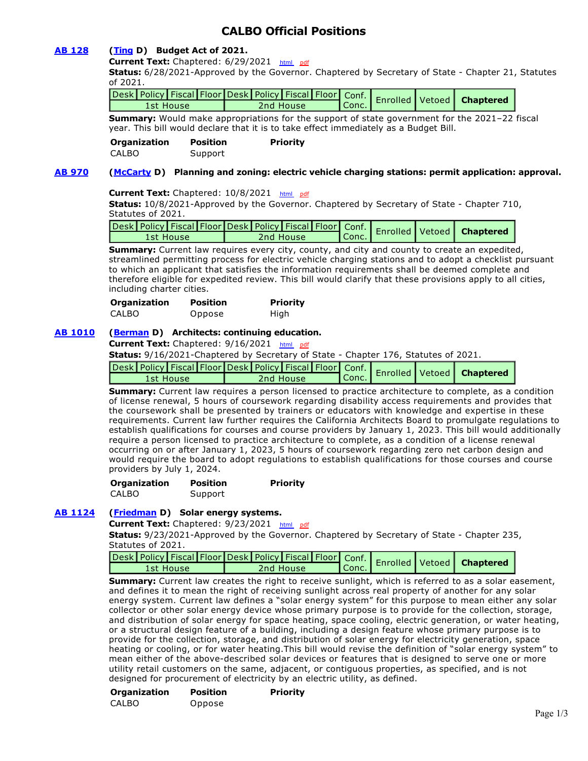# **CALBO Official Positions**

# **[AB 128](https://ctweb.capitoltrack.com/public/publishbillinfo.aspx?bi=1TBtqgXpDL3jll6LGTDIeftiX5LR3Ud16o6hoMLpbhO4GQtKiafVIC2rPNfGFpLO) [\(Ting](https://a19.asmdc.org/) D) Budget Act of 2021.**

**Current Text:** Chaptered: 6/29/2021 [html](http://ct3k1.capitoltrack.com/Bills/21Bills%5Casm%5Cab_0101-0150%5Cab_128_95_C_bill.htm) [pdf](http://ct3k1.capitoltrack.com/Bills/21Bills%5Casm%5Cab_0101-0150%5Cab_128_95_C_bill.pdf)

**Status:** 6/28/2021-Approved by the Governor. Chaptered by Secretary of State - Chapter 21, Statutes of 2021.

| Conc. Enrolled Vetoed Chapters |  |  |  |  |  |  |  |
|--------------------------------|--|--|--|--|--|--|--|
|                                |  |  |  |  |  |  |  |

**Summary:** Would make appropriations for the support of state government for the 2021–22 fiscal year. This bill would declare that it is to take effect immediately as a Budget Bill.

**Organization Position Priority**  CALBO Support

# **[AB 970](https://ctweb.capitoltrack.com/public/publishbillinfo.aspx?bi=CCUYezNoTpeCIFtqFnnatHZiOdCMemAJgGOJqEqWqns16DNtOvJW0cIVx1ByU4C0) [\(McCarty](https://a07.asmdc.org/) D) Planning and zoning: electric vehicle charging stations: permit application: approval.**

## **Current Text:** Chaptered: 10/8/2021 [html](http://ct3k1.capitoltrack.com/Bills/21Bills%5Casm%5Cab_0951-1000%5Cab_970_94_C_bill.htm) [pdf](http://ct3k1.capitoltrack.com/Bills/21Bills%5Casm%5Cab_0951-1000%5Cab_970_94_C_bill.pdf)

**Status:** 10/8/2021-Approved by the Governor. Chaptered by Secretary of State - Chapter 710, Statutes of 2021.

| - مع esk Policy Fiscal Floor Desk Policy Fiscal Floor   Conf.   Enrolled   Vetoed   Chaptere |           |                               |  |  |
|----------------------------------------------------------------------------------------------|-----------|-------------------------------|--|--|
| 1st House                                                                                    | 2nd House | $\mathsf{T}_{\mathsf{Conc.}}$ |  |  |

**Summary:** Current law requires every city, county, and city and county to create an expedited, streamlined permitting process for electric vehicle charging stations and to adopt a checklist pursuant to which an applicant that satisfies the information requirements shall be deemed complete and therefore eligible for expedited review. This bill would clarify that these provisions apply to all cities, including charter cities.

| <b>Organization</b> | <b>Position</b> | <b>Priority</b> |
|---------------------|-----------------|-----------------|
| CALBO               | Oppose          | High            |

# **[AB 1010](https://ctweb.capitoltrack.com/public/publishbillinfo.aspx?bi=w3znHaE62nX5OwYsceJZUYJe9Os8mVBMVenkf16UXLc%2B4eKSjKZz%2FvNqC577lAC%2B) [\(Berman](https://a24.asmdc.org/) D) Architects: continuing education.**

**Current Text:** Chaptered: 9/16/2021 [html](http://ct3k1.capitoltrack.com/Bills/21Bills%5Casm%5Cab_1001-1050%5Cab_1010_95_C_bill.htm) [pdf](http://ct3k1.capitoltrack.com/Bills/21Bills%5Casm%5Cab_1001-1050%5Cab_1010_95_C_bill.pdf)

**Status:** 9/16/2021-Chaptered by Secretary of State - Chapter 176, Statutes of 2021.

|           | vesk Policy Fiscal Floor Desk Policy Fiscal Floor Conf. Enrolled Vetoed Chaptered |                    |  |  |
|-----------|-----------------------------------------------------------------------------------|--------------------|--|--|
| 1st House | 2nd House                                                                         | $\mathsf{U}$ Conc. |  |  |

**Summary:** Current law requires a person licensed to practice architecture to complete, as a condition of license renewal, 5 hours of coursework regarding disability access requirements and provides that the coursework shall be presented by trainers or educators with knowledge and expertise in these requirements. Current law further requires the California Architects Board to promulgate regulations to establish qualifications for courses and course providers by January 1, 2023. This bill would additionally require a person licensed to practice architecture to complete, as a condition of a license renewal occurring on or after January 1, 2023, 5 hours of coursework regarding zero net carbon design and would require the board to adopt regulations to establish qualifications for those courses and course providers by July 1, 2024.

| <b>Organization</b> | <b>Position</b> | <b>Priority</b> |
|---------------------|-----------------|-----------------|
| CALBO               | Support         |                 |

# **[AB 1124](https://ctweb.capitoltrack.com/public/publishbillinfo.aspx?bi=BVfIbVuXTUX6axnStzuvF0uVBKeLuEGrG4KyFzEyfXWKAAICbRAyPzH659QSw0JQ) [\(Friedman](https://a43.asmdc.org/) D) Solar energy systems.**

**Current Text:** Chaptered: 9/23/2021 [html](http://ct3k1.capitoltrack.com/Bills/21Bills%5Casm%5Cab_1101-1150%5Cab_1124_93_C_bill.htm) [pdf](http://ct3k1.capitoltrack.com/Bills/21Bills%5Casm%5Cab_1101-1150%5Cab_1124_93_C_bill.pdf)

**Status:** 9/23/2021-Approved by the Governor. Chaptered by Secretary of State - Chapter 235, Statutes of 2021.

| Conc. Enrolled Vetoed   Chapters |  |  |  |  |
|----------------------------------|--|--|--|--|

**Summary:** Current law creates the right to receive sunlight, which is referred to as a solar easement, and defines it to mean the right of receiving sunlight across real property of another for any solar energy system. Current law defines a "solar energy system" for this purpose to mean either any solar collector or other solar energy device whose primary purpose is to provide for the collection, storage, and distribution of solar energy for space heating, space cooling, electric generation, or water heating, or a structural design feature of a building, including a design feature whose primary purpose is to provide for the collection, storage, and distribution of solar energy for electricity generation, space heating or cooling, or for water heating.This bill would revise the definition of "solar energy system" to mean either of the above-described solar devices or features that is designed to serve one or more utility retail customers on the same, adjacent, or contiguous properties, as specified, and is not designed for procurement of electricity by an electric utility, as defined.

**Organization Position Priority**  CALBO Oppose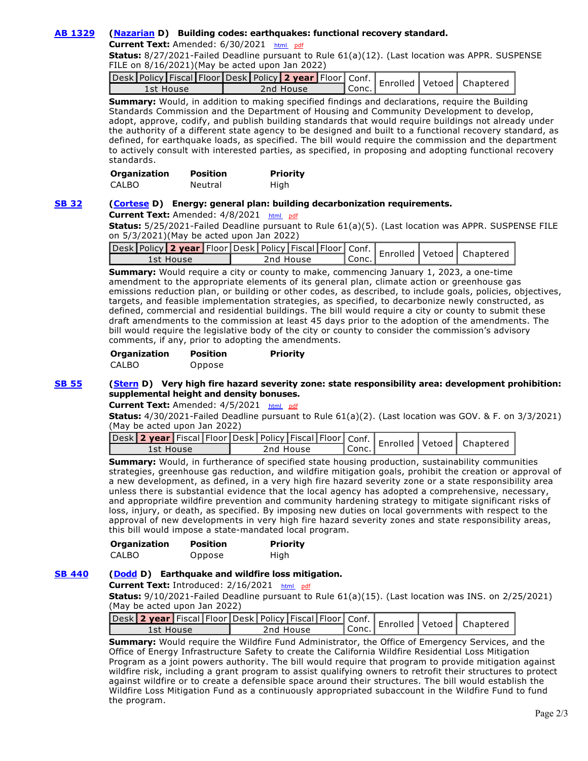# **[AB 1329](https://ctweb.capitoltrack.com/public/publishbillinfo.aspx?bi=Op%2BwzJqTRG7IDXKXqqfKf8b4dZhY58cx0JMIbnYGcveZpoknHvdZXF7jojnSio%2F5) [\(Nazarian](https://a46.asmdc.org/) D) Building codes: earthquakes: functional recovery standard.**

**Current Text:** Amended: 6/30/2021 [html](http://ct3k1.capitoltrack.com/Bills/21Bills%5Casm%5Cab_1301-1350%5Cab_1329_96_A_bill.htm)  [pdf](http://ct3k1.capitoltrack.com/Bills/21Bills%5Casm%5Cab_1301-1350%5Cab_1329_96_A_bill.pdf)

**Status:** 8/27/2021-Failed Deadline pursuant to Rule 61(a)(12). (Last location was APPR. SUSPENSE FILE on 8/16/2021)(May be acted upon Jan 2022)

| ruesk Policy Fiscal Floor Desk Policy 2 year Floor Conf.   Enrolled   Vetoed   Chaptere |           |         |  |  |
|-----------------------------------------------------------------------------------------|-----------|---------|--|--|
| 1st House                                                                               | 2nd House | l Conc. |  |  |

**Summary:** Would, in addition to making specified findings and declarations, require the Building Standards Commission and the Department of Housing and Community Development to develop, adopt, approve, codify, and publish building standards that would require buildings not already under the authority of a different state agency to be designed and built to a functional recovery standard, as defined, for earthquake loads, as specified. The bill would require the commission and the department to actively consult with interested parties, as specified, in proposing and adopting functional recovery standards.

| <b>Organization</b> | <b>Position</b> | <b>Priority</b> |
|---------------------|-----------------|-----------------|
| CALBO               | Neutral         | High            |

#### **[SB 32](https://ctweb.capitoltrack.com/public/publishbillinfo.aspx?bi=bFzsTYuNHv0DJolqPpWL1XxNmns9M0hmRwPmdE1lTD0Kn%2BLwOk%2Beiy20ue2BYk5o) [\(Cortese](http://sd15.senate.ca.gov/) D) Energy: general plan: building decarbonization requirements.**

Current Text: Amended: 4/8/2021 [html](http://ct3k1.capitoltrack.com/Bills/21Bills%5Csen%5Csb_0001-0050%5Csb_32_98_A_bill.htm) [pdf](http://ct3k1.capitoltrack.com/Bills/21Bills%5Csen%5Csb_0001-0050%5Csb_32_98_A_bill.pdf)

**Status:** 5/25/2021-Failed Deadline pursuant to Rule 61(a)(5). (Last location was APPR. SUSPENSE FILE on 5/3/2021)(May be acted upon Jan 2022)

|           |  |           |  |       |  | Jesk Policy 2 year Floor Desk Policy Fiscal Floor Conf.   Enrolled   Vetoed   Chaptere |
|-----------|--|-----------|--|-------|--|----------------------------------------------------------------------------------------|
| 1st House |  | 2nd House |  | Conc. |  |                                                                                        |

**Summary:** Would require a city or county to make, commencing January 1, 2023, a one-time amendment to the appropriate elements of its general plan, climate action or greenhouse gas emissions reduction plan, or building or other codes, as described, to include goals, policies, objectives, targets, and feasible implementation strategies, as specified, to decarbonize newly constructed, as defined, commercial and residential buildings. The bill would require a city or county to submit these draft amendments to the commission at least 45 days prior to the adoption of the amendments. The bill would require the legislative body of the city or county to consider the commission's advisory comments, if any, prior to adopting the amendments.

| <b>Organization</b> | <b>Position</b> | <b>Priority</b> |
|---------------------|-----------------|-----------------|
| <b>CALBO</b>        | Oppose          |                 |

#### **[SB 55](https://ctweb.capitoltrack.com/public/publishbillinfo.aspx?bi=RxxBPpbKzwKh865oli87sTOp0Aoe7efxnvsW3WeoVOHfDtRvz%2BfOn83ZBS4U8%2BEX) [\(Stern](http://sd27.senate.ca.gov/) D) Very high fire hazard severity zone: state responsibility area: development prohibition: supplemental height and density bonuses.**

**Current Text:** Amended: 4/5/2021 [html](http://ct3k1.capitoltrack.com/Bills/21Bills%5Csen%5Csb_0051-0100%5Csb_55_98_A_bill.htm)  [pdf](http://ct3k1.capitoltrack.com/Bills/21Bills%5Csen%5Csb_0051-0100%5Csb_55_98_A_bill.pdf)

**Status:** 4/30/2021-Failed Deadline pursuant to Rule 61(a)(2). (Last location was GOV. & F. on 3/3/2021) (May be acted upon Jan 2022)

| Jesk 2 year Fiscal Floor Desk   Policy   Fiscal   Floor   Conf.   Enrolled   Vetoed   Chaptered |           |                    |  |  |
|-------------------------------------------------------------------------------------------------|-----------|--------------------|--|--|
| 1st House                                                                                       | 2nd House | <sup>I</sup> Conc. |  |  |

**Summary:** Would, in furtherance of specified state housing production, sustainability communities strategies, greenhouse gas reduction, and wildfire mitigation goals, prohibit the creation or approval of a new development, as defined, in a very high fire hazard severity zone or a state responsibility area unless there is substantial evidence that the local agency has adopted a comprehensive, necessary, and appropriate wildfire prevention and community hardening strategy to mitigate significant risks of loss, injury, or death, as specified. By imposing new duties on local governments with respect to the approval of new developments in very high fire hazard severity zones and state responsibility areas, this bill would impose a state-mandated local program.

| <b>Organization</b> | <b>Position</b> | <b>Priority</b> |
|---------------------|-----------------|-----------------|
| <b>CALBO</b>        | Oppose          | High            |

# **[SB 440](https://ctweb.capitoltrack.com/public/publishbillinfo.aspx?bi=LQBnhzob17xQ0RN12BcGIsBR1bbh%2BOEjKqxyh6CbYjUKTgqPL0x1wPWhhEQZZgxD) [\(Dodd](http://sd03.senate.ca.gov/) D) Earthquake and wildfire loss mitigation.**

**Current Text:** Introduced: 2/16/2021 [html](http://ct3k1.capitoltrack.com/Bills/21Bills%5Csen%5Csb_0401-0450%5Csb_440_99_I_bill.htm) [pdf](http://ct3k1.capitoltrack.com/Bills/21Bills%5Csen%5Csb_0401-0450%5Csb_440_99_I_bill.pdf)

**Status:** 9/10/2021-Failed Deadline pursuant to Rule 61(a)(15). (Last location was INS. on 2/25/2021) (May be acted upon Jan 2022)

| vesk 2 year Fiscal Floor Desk   Policy   Fiscal   Floor   Conf.   Enrolled   Vetoed   Chaptered ' |           |       |  |  |
|---------------------------------------------------------------------------------------------------|-----------|-------|--|--|
| 1st House                                                                                         | 2nd House | Conc. |  |  |

**Summary:** Would require the Wildfire Fund Administrator, the Office of Emergency Services, and the Office of Energy Infrastructure Safety to create the California Wildfire Residential Loss Mitigation Program as a joint powers authority. The bill would require that program to provide mitigation against wildfire risk, including a grant program to assist qualifying owners to retrofit their structures to protect against wildfire or to create a defensible space around their structures. The bill would establish the Wildfire Loss Mitigation Fund as a continuously appropriated subaccount in the Wildfire Fund to fund the program.